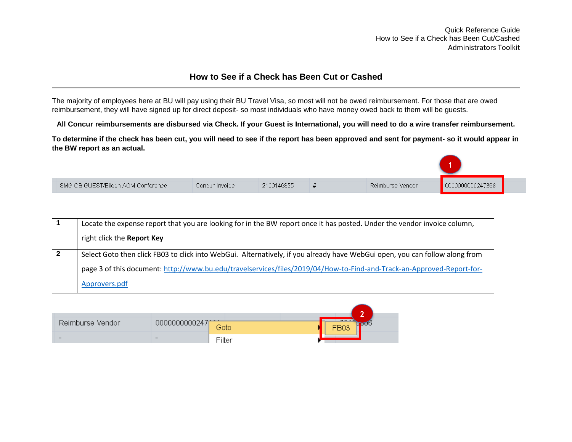Quick Reference Guide How to See if a Check has Been Cut/Cashed Administrators Toolkit

## **How to See if a Check has Been Cut or Cashed**

The majority of employees here at BU will pay using their BU Travel Visa, so most will not be owed reimbursement. For those that are owed reimbursement, they will have signed up for direct deposit- so most individuals who have money owed back to them will be guests.

**All Concur reimbursements are disbursed via Check. If your Guest is International, you will need to do a wire transfer reimbursement.** 

**To determine if the check has been cut, you will need to see if the report has been approved and sent for payment- so it would appear in the BW report as an actual.** 

| SMG OB GUEST/Eileen AOM Conference | Concur Invoice | 2100146855 | Reimburse Vendor | -7368 |  |
|------------------------------------|----------------|------------|------------------|-------|--|

|   | Locate the expense report that you are looking for in the BW report once it has posted. Under the vendor invoice column,    |
|---|-----------------------------------------------------------------------------------------------------------------------------|
|   | right click the Report Key                                                                                                  |
| 2 | Select Goto then click FB03 to click into WebGui. Alternatively, if you already have WebGui open, you can follow along from |
|   | page 3 of this document: http://www.bu.edu/travelservices/files/2019/04/How-to-Find-and-Track-an-Approved-Report-for-       |
|   | Approvers.pdf                                                                                                               |

|                  |                          |                  | $\overline{\phantom{a}}$ |
|------------------|--------------------------|------------------|--------------------------|
| Reimburse Vendor | 0000000000247            | $\cdots$<br>Gotc | $\overline{a}$           |
|                  | $\overline{\phantom{0}}$ | Filter           |                          |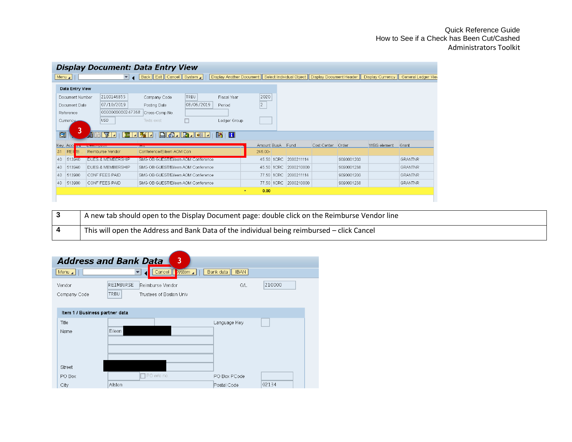## Quick Reference Guide How to See if a Check has Been Cut/Cashed Administrators Toolkit

|    | <b>Display Document: Data Entry View</b> |                              |                                    |            |                              |                  |      |            |                   |            |                                                                                                  |                    |
|----|------------------------------------------|------------------------------|------------------------------------|------------|------------------------------|------------------|------|------------|-------------------|------------|--------------------------------------------------------------------------------------------------|--------------------|
|    | $ \text{Menu} \rangle$                   | $\overline{\phantom{a}}$     | Back   Exit   Cancel   System      |            |                              |                  |      |            |                   |            | Display Another Document   Select Individual Object   Display Document Header   Display Currency | General Ledger Vie |
|    | Data Entry View                          |                              |                                    |            |                              |                  |      |            |                   |            |                                                                                                  |                    |
|    | Document Number                          | 2100146855                   | Company Code                       | TRBU       | Fiscal Year                  | 2020             |      |            |                   |            |                                                                                                  |                    |
|    | Document Date                            | 07/10/2019                   | Posting Date                       | 08/06/2019 | Period                       | $\overline{2}$   |      |            |                   |            |                                                                                                  |                    |
|    | Reference                                | 0000000000247368             | Cross-Comp.No.                     |            |                              |                  |      |            |                   |            |                                                                                                  |                    |
|    | Currency                                 | USD                          | Texts exist                        |            | Ledger Group                 |                  |      |            |                   |            |                                                                                                  |                    |
|    |                                          |                              |                                    |            |                              |                  |      |            |                   |            |                                                                                                  |                    |
|    | $\blacksquare$                           | <u>ala di</u>                | $\mathbb{Z}$ decrease $\mathbb{Z}$ | 日は「国内」     | $\mathbf{R}$ is $\mathbf{H}$ |                  |      |            |                   |            |                                                                                                  |                    |
|    | Key Acco                                 | <b>SUBJECT CARS ASSESSED</b> | <b>TOAL</b>                        |            |                              | Amount BusA Fund |      |            | Cost Center Order |            | <b>WBS</b> element                                                                               | Grant              |
| 31 | <b>REI</b><br>IB.                        | Reimburse Vendor             | Conference/Eileen AOM Con          |            |                              | 246.00-          |      |            |                   |            |                                                                                                  |                    |
| 40 | 513940                                   | <b>DUES &amp; MEMBERSHIP</b> | SMG OB GUEST/Eileen AOM Conference |            |                              | 45.50            | 1CRC | 2000211114 |                   | 9090001203 |                                                                                                  | <b>GRANTNR</b>     |
| 40 | 513940                                   | DUES & MEMBERSHIP            | SMG OB GUEST/Eileen AOM Conference |            |                              | 45.50            | 1CRC | 2000210000 |                   | 9090001238 |                                                                                                  | <b>GRANTNR</b>     |
| 40 | 513900                                   | CONF FEES PAID               | SMG OB GUEST/Eileen AOM Conference |            |                              | 77.50            | 1CRC | 2000211114 |                   | 9090001203 |                                                                                                  | <b>GRANTNR</b>     |
| 40 | 513900                                   | CONF FEES PAID               | SMG OB GUEST/Eileen AOM Conference |            |                              | 77.50            | 1CRC | 2000210000 |                   | 9090001238 |                                                                                                  | <b>GRANTNR</b>     |
|    |                                          |                              |                                    |            | $\blacksquare$               | 0.00             |      |            |                   |            |                                                                                                  |                    |
|    |                                          |                              |                                    |            |                              |                  |      |            |                   |            |                                                                                                  |                    |

| A new tab should open to the Display Document page: double click on the Reimburse Vendor line |
|-----------------------------------------------------------------------------------------------|
| This will open the Address and Bank Data of the individual being reimbursed – click Cancel    |

|                                | <b>Address and Bank Data</b><br>$\overline{\mathbf{3}}$ |                          |        |
|--------------------------------|---------------------------------------------------------|--------------------------|--------|
| Menu $\blacktriangle$          | Cancel    <br><b>System</b>                             | Bank data<br><b>IBAN</b> |        |
| Vendor                         | <b>REIMBURSE</b><br>Reimburse Vendor                    | G/L                      | 210000 |
| Company Code                   | TRBU<br>Trustees of Boston Univ                         |                          |        |
|                                |                                                         |                          |        |
| Item 1 / Business partner data |                                                         |                          |        |
| Title                          |                                                         | Language Key             |        |
| Name                           | Eileen                                                  |                          |        |
|                                |                                                         |                          |        |
|                                |                                                         |                          |        |
|                                |                                                         |                          |        |
| Street                         |                                                         |                          |        |
| PO Box                         | PO w/o no.                                              | PO Box PCode             |        |
| City                           | Allston                                                 | Postal Code              | 02134  |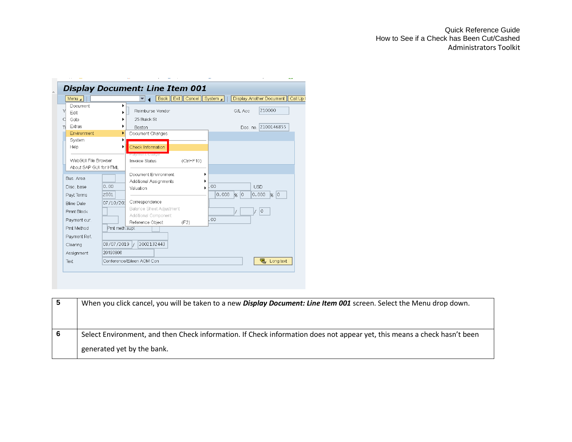| Menu 4                                          |                |                                                                                               | Back   Exit   Cancel   System |                  |                                 | Display Another Document   Call Up |  |
|-------------------------------------------------|----------------|-----------------------------------------------------------------------------------------------|-------------------------------|------------------|---------------------------------|------------------------------------|--|
| Document<br>Edit<br>Goto                        |                | Reimburse Vendor<br>25 Buick St                                                               |                               |                  | G/L Acc                         | 210000                             |  |
| Extras<br>Environment<br>System<br>Help         |                | Boston<br>Document Changes<br>Check Information                                               |                               |                  | Doc. no.                        | 2100146855                         |  |
| WebGUI File Browser<br>About SAP GUI for HTML   |                | <mark>r ayment esage</mark><br>Invoice Status                                                 | $(Ctrl + F10)$                |                  |                                 |                                    |  |
| Bus. Area<br>Disc. base<br>Payt Terms           | 0.00<br>Z001   | Document Environment<br>Additional Assignments<br>Valuation                                   |                               | $^{00}$<br>0.000 | $\overline{0}$<br>$\frac{8}{5}$ | <b>USD</b><br>0.000<br>l0<br>96    |  |
| <b>Bline Date</b><br>Pmnt Block<br>Payment cur. | 07/10/201      | Correspondence<br><b>Balance Sheet Adjustment</b><br>Additional Component<br>Reference Object | (F2)                          | 00               |                                 | 0                                  |  |
| Pmt Method<br>Payment Ref.                      | Pmt meth.supl. |                                                                                               |                               |                  |                                 |                                    |  |
| Clearing                                        | 08/07/2019     | 2002132443<br>$\mathcal{L}$                                                                   |                               |                  |                                 |                                    |  |
| Assignment<br>Text                              | 20190806       | Conference/Eileen AOM Con                                                                     |                               |                  |                                 | ę,<br>Long text                    |  |

| G | When you click cancel, you will be taken to a new Display Document: Line Item 001 screen. Select the Menu drop down.     |
|---|--------------------------------------------------------------------------------------------------------------------------|
| 6 | Select Environment, and then Check information. If Check information does not appear yet, this means a check hasn't been |
|   | generated yet by the bank.                                                                                               |